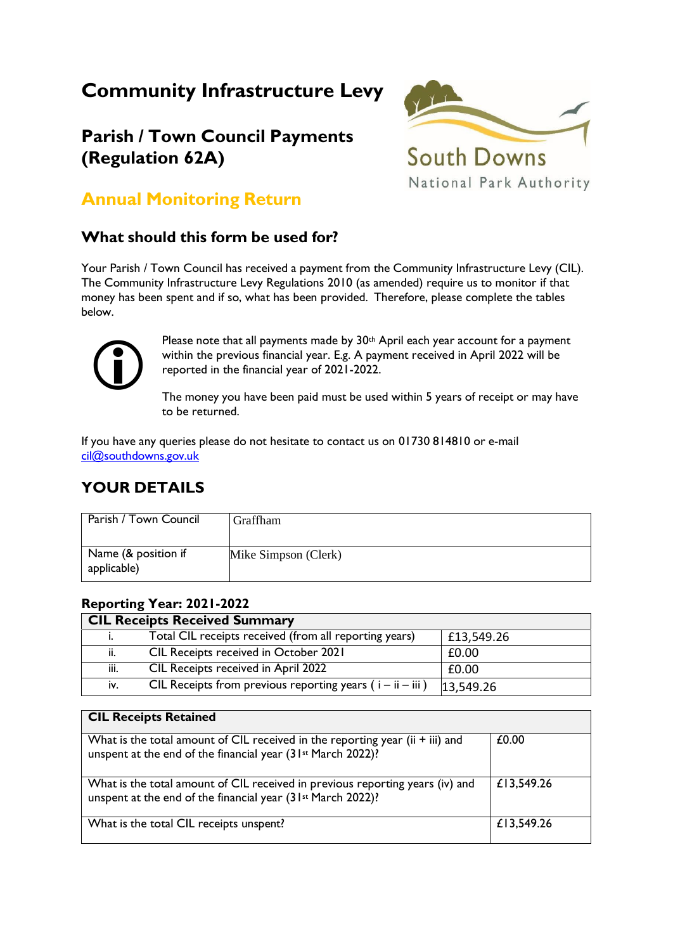# **Community Infrastructure Levy**

## **Parish / Town Council Payments (Regulation 62A)**



 $\overline{\phantom{0}}$ 

## **Annual Monitoring Return**

### **What should this form be used for?**

Your Parish / Town Council has received a payment from the Community Infrastructure Levy (CIL). The Community Infrastructure Levy Regulations 2010 (as amended) require us to monitor if that money has been spent and if so, what has been provided. Therefore, please complete the tables below.



Please note that all payments made by 30<sup>th</sup> April each year account for a payment within the previous financial year. E.g. A payment received in April 2022 will be reported in the financial year of 2021-2022.

The money you have been paid must be used within 5 years of receipt or may have to be returned.

If you have any queries please do not hesitate to contact us on 01730 814810 or e-mail [cil@southdowns.gov.uk](mailto:cil@southdowns.gov.uk)

### **YOUR DETAILS**

| Parish / Town Council              | Graffham             |
|------------------------------------|----------------------|
| Name (& position if<br>applicable) | Mike Simpson (Clerk) |

#### **Reporting Year: 2021-2022 CIL Receipts Received Summary**

| CIL Receiply Received Summary |                                                               |            |  |  |
|-------------------------------|---------------------------------------------------------------|------------|--|--|
|                               | Total CIL receipts received (from all reporting years)        | £13,549.26 |  |  |
| ii.                           | CIL Receipts received in October 2021                         | £0.00      |  |  |
| iii.                          | CIL Receipts received in April 2022                           | £0.00      |  |  |
| İV.                           | CIL Receipts from previous reporting years ( $i - ii - iii$ ) | 13,549.26  |  |  |

| <b>CIL Receipts Retained</b>                                                                                                                               |            |
|------------------------------------------------------------------------------------------------------------------------------------------------------------|------------|
| What is the total amount of CIL received in the reporting year (ii $+$ iii) and<br>unspent at the end of the financial year (31 <sup>st</sup> March 2022)? | £0.00      |
| What is the total amount of CIL received in previous reporting years (iv) and<br>unspent at the end of the financial year (31 <sup>st</sup> March 2022)?   | £13,549.26 |
| What is the total CIL receipts unspent?                                                                                                                    | £13,549.26 |